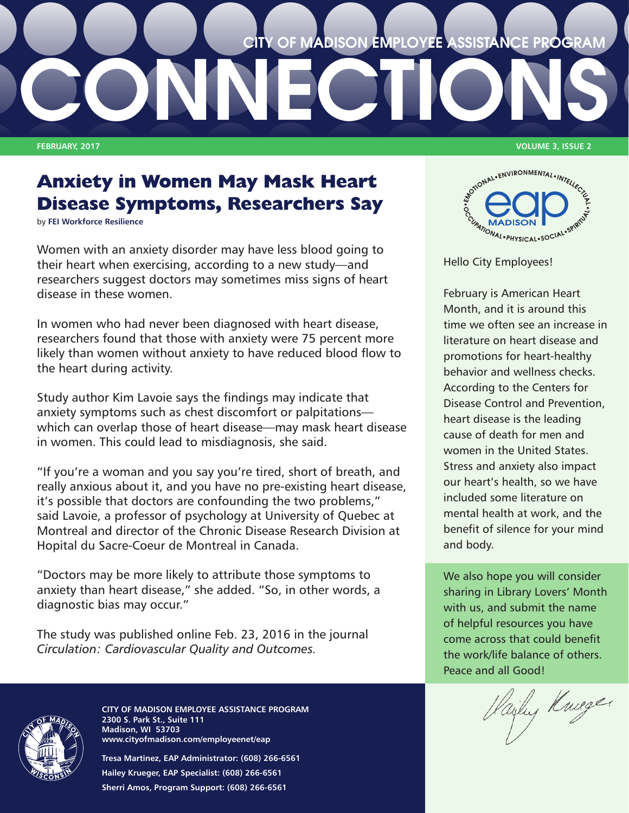

# **Anxiety in Women May Mask Heart Disease Symptoms, Researchers Say**

by **[FEI Workforce Resilience](http://feieap.com/poc/view_doc.php?type=news&id=179403&cn=1)**

Women with an anxiety disorder may have less blood going to their heart when exercising, according to a new study—and researchers suggest doctors may sometimes miss signs of heart disease in these women.

In women who had never been diagnosed with heart disease, researchers found that those with anxiety were 75 percent more likely than women without anxiety to have reduced blood flow to the heart during activity.

Study author Kim Lavoie says the findings may indicate that anxiety symptoms such as chest discomfort or palpitations which can overlap those of heart disease—may mask heart disease in women. This could lead to misdiagnosis, she said.

"If you're a woman and you say you're tired, short of breath, and really anxious about it, and you have no pre-existing heart disease, it's possible that doctors are confounding the two problems," said Lavoie, a professor of psychology at University of Quebec at Montreal and director of the Chronic Disease Research Division at Hopital du Sacre-Coeur de Montreal in Canada.

"Doctors may be more likely to attribute those symptoms to anxiety than heart disease," she added. "So, in other words, a diagnostic bias may occur."

The study was published online Feb. 23, 2016 in the journal *Circulation: Cardiovascular Quality and Outcomes.*



**CITY OF MADISON EMPLOYEE ASSISTANCE PROGRAM 2300 S. Park St., Suite 111 Madison, WI 53703 www.cityofmadison.com/employeenet/eap**

**Tresa Martinez, EAP Administrator: (608) 266-6561 Hailey Krueger, EAP Specialist: (608) 266-6561 Sherri Amos, Program Support: (608) 266-6561**



February is American Heart Month, and it is around this time we often see an increase in literature on heart disease and promotions for heart-healthy behavior and wellness checks. According to the Centers for Disease Control and Prevention, heart disease is the leading cause of death for men and women in the United States. Stress and anxiety also impact our heart's health, so we have included some literature on mental health at work, and the benefit of silence for your mind and body.

We also hope you will consider sharing in Library Lovers' Month with us, and submit the name of helpful resources you have come across that could benefit the work/life balance of others. Peace and all Good!

Hailey Knieger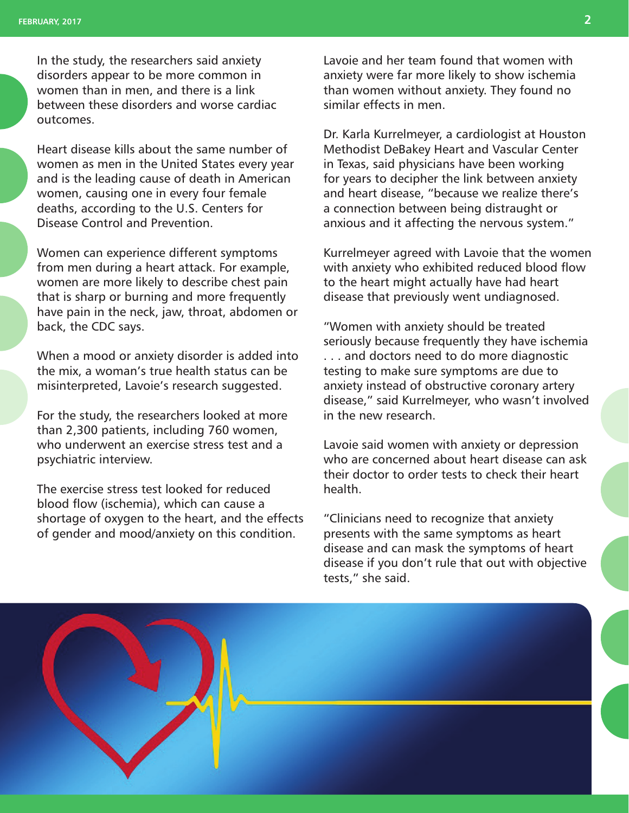In the study, the researchers said anxiety disorders appear to be more common in women than in men, and there is a link between these disorders and worse cardiac outcomes.

Heart disease kills about the same number of women as men in the United States every year and is the leading cause of death in American women, causing one in every four female deaths, according to the U.S. Centers for Disease Control and Prevention.

Women can experience different symptoms from men during a heart attack. For example, women are more likely to describe chest pain that is sharp or burning and more frequently have pain in the neck, jaw, throat, abdomen or back, the CDC says.

When a mood or anxiety disorder is added into the mix, a woman's true health status can be misinterpreted, Lavoie's research suggested.

For the study, the researchers looked at more than 2,300 patients, including 760 women, who underwent an exercise stress test and a psychiatric interview.

The exercise stress test looked for reduced blood flow (ischemia), which can cause a shortage of oxygen to the heart, and the effects of gender and mood/anxiety on this condition.

Lavoie and her team found that women with anxiety were far more likely to show ischemia than women without anxiety. They found no similar effects in men.

Dr. Karla Kurrelmeyer, a cardiologist at Houston Methodist DeBakey Heart and Vascular Center in Texas, said physicians have been working for years to decipher the link between anxiety and heart disease, "because we realize there's a connection between being distraught or anxious and it affecting the nervous system."

Kurrelmeyer agreed with Lavoie that the women with anxiety who exhibited reduced blood flow to the heart might actually have had heart disease that previously went undiagnosed.

"Women with anxiety should be treated seriously because frequently they have ischemia . . . and doctors need to do more diagnostic testing to make sure symptoms are due to anxiety instead of obstructive coronary artery disease," said Kurrelmeyer, who wasn't involved in the new research.

Lavoie said women with anxiety or depression who are concerned about heart disease can ask their doctor to order tests to check their heart health.

"Clinicians need to recognize that anxiety presents with the same symptoms as heart disease and can mask the symptoms of heart disease if you don't rule that out with objective tests," she said.

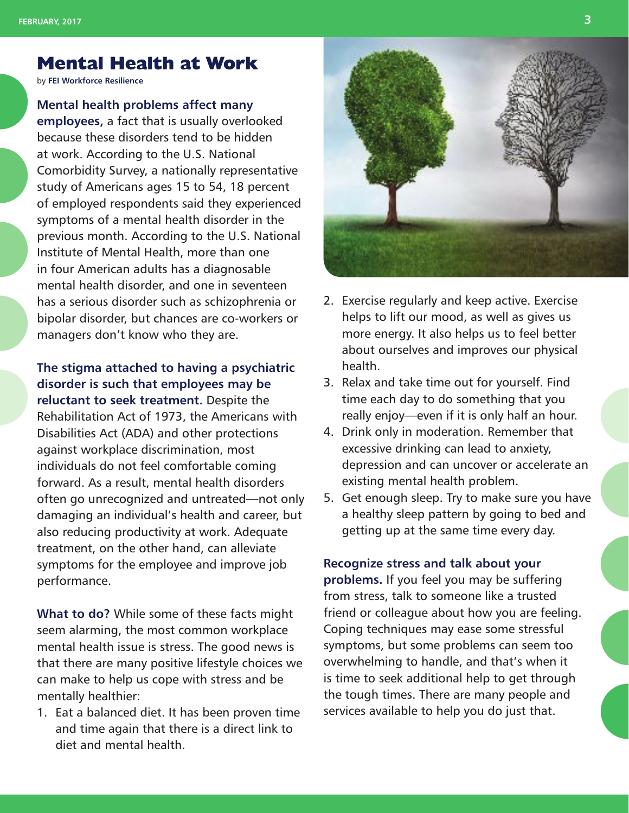## **Mental Health at Work**

by **[FEI Workforce Resilience](http://feieap.com/)**

#### **Mental health problems affect many**

**employees,** a fact that is usually overlooked because these disorders tend to be hidden at work. According to the U.S. National Comorbidity Survey, a nationally representative study of Americans ages 15 to 54, 18 percent of employed respondents said they experienced symptoms of a mental health disorder in the previous month. According to the U.S. National Institute of Mental Health, more than one in four American adults has a diagnosable mental health disorder, and one in seventeen has a serious disorder such as schizophrenia or bipolar disorder, but chances are co-workers or managers don't know who they are.

#### **The stigma attached to having a psychiatric disorder is such that employees may be**

**reluctant to seek treatment.** Despite the Rehabilitation Act of 1973, the Americans with Disabilities Act (ADA) and other protections against workplace discrimination, most individuals do not feel comfortable coming forward. As a result, mental health disorders often go unrecognized and untreated—not only damaging an individual's health and career, but also reducing productivity at work. Adequate treatment, on the other hand, can alleviate symptoms for the employee and improve job performance.

**What to do?** While some of these facts might seem alarming, the most common workplace mental health issue is stress. The good news is that there are many positive lifestyle choices we can make to help us cope with stress and be mentally healthier:

1. Eat a balanced diet. It has been proven time and time again that there is a direct link to diet and mental health.



- 2. Exercise regularly and keep active. Exercise helps to lift our mood, as well as gives us more energy. It also helps us to feel better about ourselves and improves our physical health.
- 3. Relax and take time out for yourself. Find time each day to do something that you really enjoy—even if it is only half an hour.
- 4. Drink only in moderation. Remember that excessive drinking can lead to anxiety, depression and can uncover or accelerate an existing mental health problem.
- 5. Get enough sleep. Try to make sure you have a healthy sleep pattern by going to bed and getting up at the same time every day.

#### **Recognize stress and talk about your**

**problems.** If you feel you may be suffering from stress, talk to someone like a trusted friend or colleague about how you are feeling. Coping techniques may ease some stressful symptoms, but some problems can seem too overwhelming to handle, and that's when it is time to seek additional help to get through the tough times. There are many people and services available to help you do just that.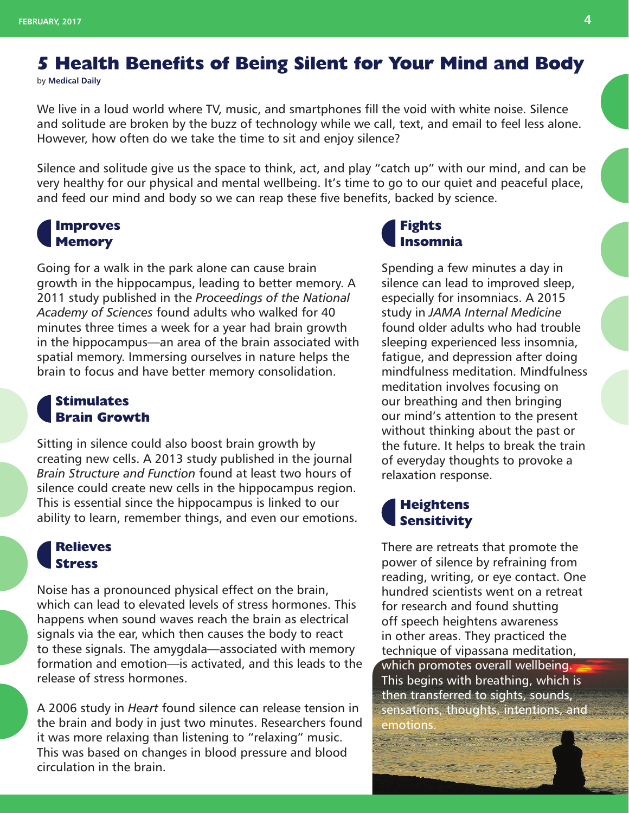## **5 Health Benefits of Being Silent for Your Mind and Body**

by **[Medical Daily](http://www.medicaldaily.com/5-health-benefits-being-silent-your-mind-and-body-396934)**

We live in a loud world where TV, music, and smartphones fill the void with white noise. Silence and solitude are broken by the buzz of technology while we call, text, and email to feel less alone. However, how often do we take the time to sit and enjoy silence?

Silence and solitude give us the space to think, act, and play "catch up" with our mind, and can be very healthy for our physical and mental wellbeing. It's time to go to our quiet and peaceful place, and feed our mind and body so we can reap these five benefits, backed by science.

### **Improves Memory**

Going for a walk in the park alone can cause brain growth in the hippocampus, leading to better memory. A 2011 study published in the *Proceedings of the National Academy of Sciences* found adults who walked for 40 minutes three times a week for a year had brain growth in the hippocampus—an area of the brain associated with spatial memory. Immersing ourselves in nature helps the brain to focus and have better memory consolidation.

#### **Stimulates Brain Growth**

Sitting in silence could also boost brain growth by creating new cells. A 2013 study published in the journal *Brain Structure and Function* found at least two hours of silence could create new cells in the hippocampus region. This is essential since the hippocampus is linked to our ability to learn, remember things, and even our emotions.

#### **Relieves Stress**

Noise has a pronounced physical effect on the brain, which can lead to elevated levels of stress hormones. This happens when sound waves reach the brain as electrical signals via the ear, which then causes the body to react to these signals. The amygdala—associated with memory formation and emotion—is activated, and this leads to the release of stress hormones.

A 2006 study in *Heart* found silence can release tension in the brain and body in just two minutes. Researchers found it was more relaxing than listening to "relaxing" music. This was based on changes in blood pressure and blood circulation in the brain.

### **Fights Insomnia**

Spending a few minutes a day in silence can lead to improved sleep, especially for insomniacs. A 2015 study in *JAMA Internal Medicine* found older adults who had trouble sleeping experienced less insomnia, fatigue, and depression after doing mindfulness meditation. Mindfulness meditation involves focusing on our breathing and then bringing our mind's attention to the present without thinking about the past or the future. It helps to break the train of everyday thoughts to provoke a relaxation response.

#### **Heightens Sensitivity**

There are retreats that promote the power of silence by refraining from reading, writing, or eye contact. One hundred scientists went on a retreat for research and found shutting off speech heightens awareness in other areas. They practiced the technique of vipassana meditation, which promotes overall wellbeing. This begins with breathing, which is then transferred to sights, sounds, sensations, thoughts, intentions, and emotions.